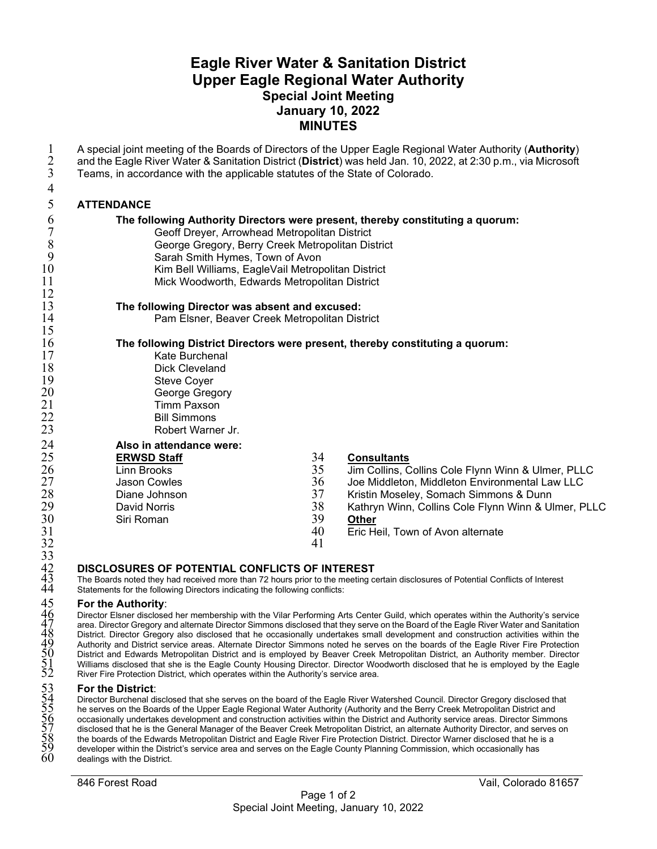# **Eagle River Water & Sanitation District Upper Eagle Regional Water Authority Special Joint Meeting January 10, 2022 MINUTES**

| $\mathbf{1}$<br>$\overline{2}$ | A special joint meeting of the Boards of Directors of the Upper Eagle Regional Water Authority (Authority)<br>and the Eagle River Water & Sanitation District (District) was held Jan. 10, 2022, at 2:30 p.m., via Microsoft |    |                                                                                                                                   |
|--------------------------------|------------------------------------------------------------------------------------------------------------------------------------------------------------------------------------------------------------------------------|----|-----------------------------------------------------------------------------------------------------------------------------------|
| $\overline{3}$                 | Teams, in accordance with the applicable statutes of the State of Colorado.                                                                                                                                                  |    |                                                                                                                                   |
| $\overline{4}$                 |                                                                                                                                                                                                                              |    |                                                                                                                                   |
| 5                              | <b>ATTENDANCE</b>                                                                                                                                                                                                            |    |                                                                                                                                   |
| 6                              | The following Authority Directors were present, thereby constituting a quorum:                                                                                                                                               |    |                                                                                                                                   |
| $\overline{7}$                 | Geoff Dreyer, Arrowhead Metropolitan District                                                                                                                                                                                |    |                                                                                                                                   |
| 8                              | George Gregory, Berry Creek Metropolitan District                                                                                                                                                                            |    |                                                                                                                                   |
| 9                              | Sarah Smith Hymes, Town of Avon                                                                                                                                                                                              |    |                                                                                                                                   |
| 10                             | Kim Bell Williams, EagleVail Metropolitan District                                                                                                                                                                           |    |                                                                                                                                   |
| 11                             | Mick Woodworth, Edwards Metropolitan District                                                                                                                                                                                |    |                                                                                                                                   |
| 12                             |                                                                                                                                                                                                                              |    |                                                                                                                                   |
| 13                             | The following Director was absent and excused:                                                                                                                                                                               |    |                                                                                                                                   |
| 14                             | Pam Elsner, Beaver Creek Metropolitan District                                                                                                                                                                               |    |                                                                                                                                   |
| 15                             |                                                                                                                                                                                                                              |    |                                                                                                                                   |
| 16                             | The following District Directors were present, thereby constituting a quorum:                                                                                                                                                |    |                                                                                                                                   |
| 17                             | Kate Burchenal                                                                                                                                                                                                               |    |                                                                                                                                   |
| 18<br>19                       | <b>Dick Cleveland</b>                                                                                                                                                                                                        |    |                                                                                                                                   |
| 20                             | <b>Steve Coyer</b><br>George Gregory                                                                                                                                                                                         |    |                                                                                                                                   |
| 21                             | <b>Timm Paxson</b>                                                                                                                                                                                                           |    |                                                                                                                                   |
| 22                             | <b>Bill Simmons</b>                                                                                                                                                                                                          |    |                                                                                                                                   |
| 23                             | Robert Warner Jr.                                                                                                                                                                                                            |    |                                                                                                                                   |
| 24                             | Also in attendance were:                                                                                                                                                                                                     |    |                                                                                                                                   |
| 25                             | <b>ERWSD Staff</b>                                                                                                                                                                                                           | 34 | <b>Consultants</b>                                                                                                                |
| 26                             | <b>Linn Brooks</b>                                                                                                                                                                                                           | 35 | Jim Collins, Collins Cole Flynn Winn & Ulmer, PLLC                                                                                |
| 27                             | <b>Jason Cowles</b>                                                                                                                                                                                                          | 36 | Joe Middleton, Middleton Environmental Law LLC                                                                                    |
| 28                             | Diane Johnson                                                                                                                                                                                                                | 37 | Kristin Moseley, Somach Simmons & Dunn                                                                                            |
| 29                             | <b>David Norris</b>                                                                                                                                                                                                          | 38 | Kathryn Winn, Collins Cole Flynn Winn & Ulmer, PLLC                                                                               |
| 30                             | Siri Roman                                                                                                                                                                                                                   | 39 | <b>Other</b>                                                                                                                      |
| 31                             |                                                                                                                                                                                                                              | 40 | Eric Heil, Town of Avon alternate                                                                                                 |
| 32                             |                                                                                                                                                                                                                              | 41 |                                                                                                                                   |
| 33                             |                                                                                                                                                                                                                              |    |                                                                                                                                   |
|                                | DISCLOSURES OF POTENTIAL CONFLICTS OF INTEREST                                                                                                                                                                               |    |                                                                                                                                   |
| 42<br>43<br>44                 | Statements for the following Directors indicating the following conflicts:                                                                                                                                                   |    | The Boards noted they had received more than 72 hours prior to the meeting certain disclosures of Potential Conflicts of Interest |
| $\sqrt{5}$                     | $E \sim 4$ lan Andhauitan                                                                                                                                                                                                    |    |                                                                                                                                   |

#### **For the Authority**:

 Director Elsner disclosed her membership with the Vilar Performing Arts Center Guild, which operates within the Authority's service area. Director Gregory and alternate Director Simmons disclosed that they serve on the Board of the Eagle River Water and Sanitation District. Director Gregory also disclosed that he occasionally undertakes small development and construction activities within the Authority and District service areas. Alternate Director Simmons noted he serves on the boards of the Eagle River Fire Protection District and Edwards Metropolitan District and is employed by Beaver Creek Metropolitan District, an Authority member. Director Williams disclosed that she is the Eagle County Housing Director. Director Woodworth disclosed that he is employed by the Eagle River Fire Protection District, which operates within the Authority's service area.

#### **For the District**:

Director Burchenal disclosed that she serves on the board of the Eagle River Watershed Council. Director Gregory disclosed that he serves on the Boards of the Upper Eagle Regional Water Authority (Authority and the Berry Creek Metropolitan District and occasionally undertakes development and construction activities within the District and Authority service areas. Director Simmons disclosed that he is the General Manager of the Beaver Creek Metropolitan District, an alternate Authority Director, and serves on the boards of the Edwards Metropolitan District and Eagle River Fire Protection District. Director Warner disclosed that he is a developer within the District's service area and serves on the Eagle County Planning Commission, which occasionally has dealings with the District.